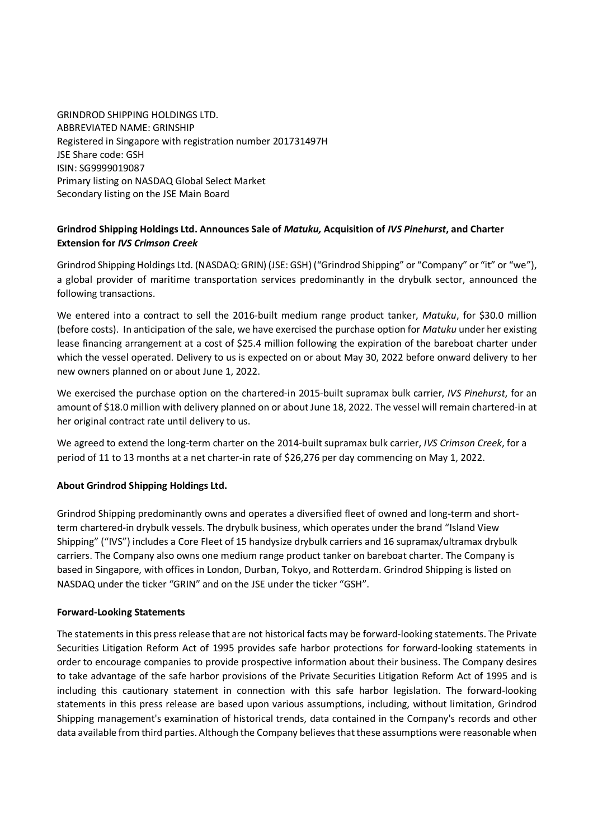GRINDROD SHIPPING HOLDINGS LTD. ABBREVIATED NAME: GRINSHIP Registered in Singapore with registration number 201731497H JSE Share code: GSH ISIN: SG9999019087 Primary listing on NASDAQ Global Select Market Secondary listing on the JSE Main Board

# **Grindrod Shipping Holdings Ltd. Announces Sale of** *Matuku,* **Acquisition of** *IVS Pinehurst***, and Charter Extension for** *IVS Crimson Creek*

Grindrod Shipping Holdings Ltd. (NASDAQ: GRIN) (JSE: GSH) ("Grindrod Shipping" or "Company" or "it" or "we"), a global provider of maritime transportation services predominantly in the drybulk sector, announced the following transactions.

We entered into a contract to sell the 2016-built medium range product tanker, *Matuku*, for \$30.0 million (before costs). In anticipation of the sale, we have exercised the purchase option for *Matuku* under her existing lease financing arrangement at a cost of \$25.4 million following the expiration of the bareboat charter under which the vessel operated. Delivery to us is expected on or about May 30, 2022 before onward delivery to her new owners planned on or about June 1, 2022.

We exercised the purchase option on the chartered-in 2015-built supramax bulk carrier, *IVS Pinehurst*, for an amount of \$18.0 million with delivery planned on or about June 18, 2022. The vessel will remain chartered-in at her original contract rate until delivery to us.

We agreed to extend the long-term charter on the 2014-built supramax bulk carrier, *IVS Crimson Creek*, for a period of 11 to 13 months at a net charter-in rate of \$26,276 per day commencing on May 1, 2022.

## **About Grindrod Shipping Holdings Ltd.**

Grindrod Shipping predominantly owns and operates a diversified fleet of owned and long-term and shortterm chartered-in drybulk vessels. The drybulk business, which operates under the brand "Island View Shipping" ("IVS") includes a Core Fleet of 15 handysize drybulk carriers and 16 supramax/ultramax drybulk carriers. The Company also owns one medium range product tanker on bareboat charter. The Company is based in Singapore, with offices in London, Durban, Tokyo, and Rotterdam. Grindrod Shipping is listed on NASDAQ under the ticker "GRIN" and on the JSE under the ticker "GSH".

## **Forward-Looking Statements**

The statements in this press release that are not historical facts may be forward-looking statements. The Private Securities Litigation Reform Act of 1995 provides safe harbor protections for forward-looking statements in order to encourage companies to provide prospective information about their business. The Company desires to take advantage of the safe harbor provisions of the Private Securities Litigation Reform Act of 1995 and is including this cautionary statement in connection with this safe harbor legislation. The forward-looking statements in this press release are based upon various assumptions, including, without limitation, Grindrod Shipping management's examination of historical trends, data contained in the Company's records and other data available from third parties. Although the Company believes that these assumptions were reasonable when